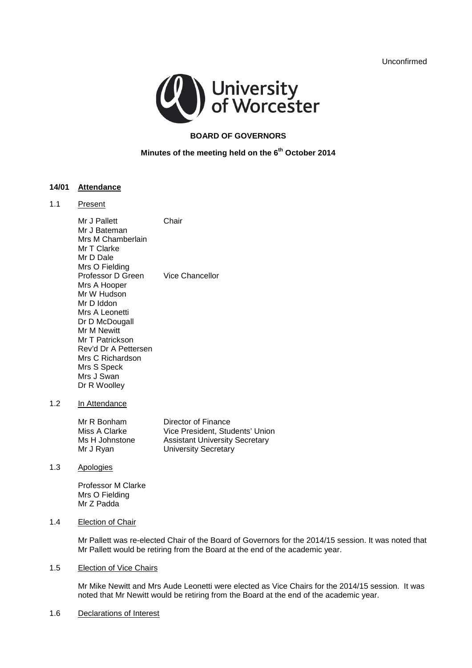Unconfirmed



## **BOARD OF GOVERNORS**

# **Minutes of the meeting held on the 6th October 2014**

#### **14/01 Attendance**

## 1.1 Present

Mr J Pallett Chair Mr J Bateman Mrs M Chamberlain Mr T Clarke Mr D Dale Mrs O Fielding Professor D Green Vice Chancellor Mrs A Hooper Mr W Hudson Mr D Iddon Mrs A Leonetti Dr D McDougall Mr M Newitt Mr T Patrickson Rev'd Dr A Pettersen Mrs C Richardson Mrs S Speck Mrs J Swan Dr R Woolley

## 1.2 In Attendance

Mr R Bonham Director of Finance<br>
Miss A Clarke Vice President, Stu Miss A Clarke Vice President, Students' Union<br>
Ms H Johnstone Assistant University Secretary **Assistant University Secretary** Mr J Ryan University Secretary

#### 1.3 Apologies

Professor M Clarke Mrs O Fielding Mr Z Padda

#### 1.4 Election of Chair

Mr Pallett was re-elected Chair of the Board of Governors for the 2014/15 session. It was noted that Mr Pallett would be retiring from the Board at the end of the academic year.

#### 1.5 Election of Vice Chairs

Mr Mike Newitt and Mrs Aude Leonetti were elected as Vice Chairs for the 2014/15 session. It was noted that Mr Newitt would be retiring from the Board at the end of the academic year.

#### 1.6 Declarations of Interest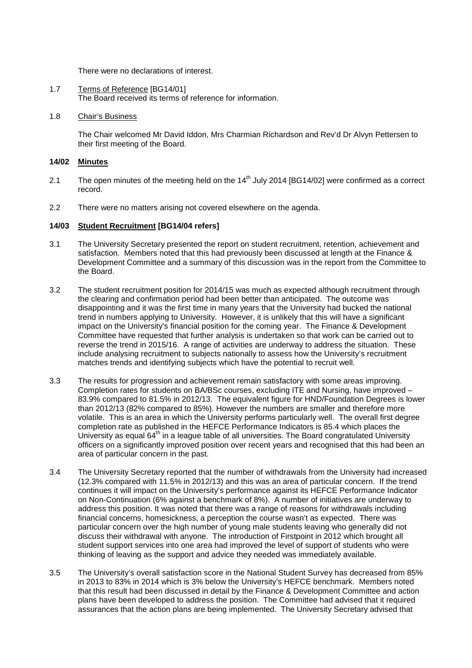There were no declarations of interest.

- 1.7 Terms of Reference [BG14/01] The Board received its terms of reference for information.
- 1.8 Chair's Business

The Chair welcomed Mr David Iddon, Mrs Charmian Richardson and Rev'd Dr Alvyn Pettersen to their first meeting of the Board.

## **14/02 Minutes**

- 2.1 The open minutes of the meeting held on the 14<sup>th</sup> July 2014 [BG14/02] were confirmed as a correct record.
- 2.2 There were no matters arising not covered elsewhere on the agenda.

## **14/03 Student Recruitment [BG14/04 refers]**

- 3.1 The University Secretary presented the report on student recruitment, retention, achievement and satisfaction. Members noted that this had previously been discussed at length at the Finance & Development Committee and a summary of this discussion was in the report from the Committee to the Board.
- 3.2 The student recruitment position for 2014/15 was much as expected although recruitment through the clearing and confirmation period had been better than anticipated. The outcome was disappointing and it was the first time in many years that the University had bucked the national trend in numbers applying to University. However, it is unlikely that this will have a significant impact on the University's financial position for the coming year. The Finance & Development Committee have requested that further analysis is undertaken so that work can be carried out to reverse the trend in 2015/16. A range of activities are underway to address the situation. These include analysing recruitment to subjects nationally to assess how the University's recruitment matches trends and identifying subjects which have the potential to recruit well.
- 3.3 The results for progression and achievement remain satisfactory with some areas improving. Completion rates for students on BA/BSc courses, excluding ITE and Nursing, have improved – 83.9% compared to 81.5% in 2012/13. The equivalent figure for HND/Foundation Degrees is lower than 2012/13 (82% compared to 85%). However the numbers are smaller and therefore more volatile. This is an area in which the University performs particularly well. The overall first degree completion rate as published in the HEFCE Performance Indicators is 85.4 which places the University as equal 64<sup>th</sup> in a league table of all universities. The Board congratulated University officers on a significantly improved position over recent years and recognised that this had been an area of particular concern in the past.
- 3.4 The University Secretary reported that the number of withdrawals from the University had increased (12.3% compared with 11.5% in 2012/13) and this was an area of particular concern. If the trend continues it will impact on the University's performance against its HEFCE Performance Indicator on Non-Continuation (6% against a benchmark of 8%). A number of initiatives are underway to address this position. It was noted that there was a range of reasons for withdrawals including financial concerns, homesickness, a perception the course wasn't as expected. There was particular concern over the high number of young male students leaving who generally did not discuss their withdrawal with anyone. The introduction of Firstpoint in 2012 which brought all student support services into one area had improved the level of support of students who were thinking of leaving as the support and advice they needed was immediately available.
- 3.5 The University's overall satisfaction score in the National Student Survey has decreased from 85% in 2013 to 83% in 2014 which is 3% below the University's HEFCE benchmark. Members noted that this result had been discussed in detail by the Finance & Development Committee and action plans have been developed to address the position. The Committee had advised that it required assurances that the action plans are being implemented. The University Secretary advised that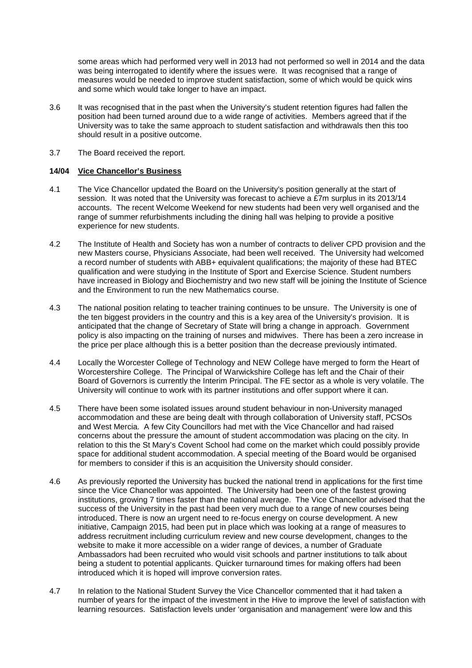some areas which had performed very well in 2013 had not performed so well in 2014 and the data was being interrogated to identify where the issues were. It was recognised that a range of measures would be needed to improve student satisfaction, some of which would be quick wins and some which would take longer to have an impact.

- 3.6 It was recognised that in the past when the University's student retention figures had fallen the position had been turned around due to a wide range of activities. Members agreed that if the University was to take the same approach to student satisfaction and withdrawals then this too should result in a positive outcome.
- 3.7 The Board received the report.

#### **14/04 Vice Chancellor's Business**

- 4.1 The Vice Chancellor updated the Board on the University's position generally at the start of session. It was noted that the University was forecast to achieve a £7m surplus in its 2013/14 accounts. The recent Welcome Weekend for new students had been very well organised and the range of summer refurbishments including the dining hall was helping to provide a positive experience for new students.
- 4.2 The Institute of Health and Society has won a number of contracts to deliver CPD provision and the new Masters course, Physicians Associate, had been well received. The University had welcomed a record number of students with ABB+ equivalent qualifications; the majority of these had BTEC qualification and were studying in the Institute of Sport and Exercise Science. Student numbers have increased in Biology and Biochemistry and two new staff will be joining the Institute of Science and the Environment to run the new Mathematics course.
- 4.3 The national position relating to teacher training continues to be unsure. The University is one of the ten biggest providers in the country and this is a key area of the University's provision. It is anticipated that the change of Secretary of State will bring a change in approach. Government policy is also impacting on the training of nurses and midwives. There has been a zero increase in the price per place although this is a better position than the decrease previously intimated.
- 4.4 Locally the Worcester College of Technology and NEW College have merged to form the Heart of Worcestershire College. The Principal of Warwickshire College has left and the Chair of their Board of Governors is currently the Interim Principal. The FE sector as a whole is very volatile. The University will continue to work with its partner institutions and offer support where it can.
- 4.5 There have been some isolated issues around student behaviour in non-University managed accommodation and these are being dealt with through collaboration of University staff, PCSOs and West Mercia. A few City Councillors had met with the Vice Chancellor and had raised concerns about the pressure the amount of student accommodation was placing on the city. In relation to this the St Mary's Covent School had come on the market which could possibly provide space for additional student accommodation. A special meeting of the Board would be organised for members to consider if this is an acquisition the University should consider.
- 4.6 As previously reported the University has bucked the national trend in applications for the first time since the Vice Chancellor was appointed. The University had been one of the fastest growing institutions, growing 7 times faster than the national average. The Vice Chancellor advised that the success of the University in the past had been very much due to a range of new courses being introduced. There is now an urgent need to re-focus energy on course development. A new initiative, Campaign 2015, had been put in place which was looking at a range of measures to address recruitment including curriculum review and new course development, changes to the website to make it more accessible on a wider range of devices, a number of Graduate Ambassadors had been recruited who would visit schools and partner institutions to talk about being a student to potential applicants. Quicker turnaround times for making offers had been introduced which it is hoped will improve conversion rates.
- 4.7 In relation to the National Student Survey the Vice Chancellor commented that it had taken a number of years for the impact of the investment in the Hive to improve the level of satisfaction with learning resources. Satisfaction levels under 'organisation and management' were low and this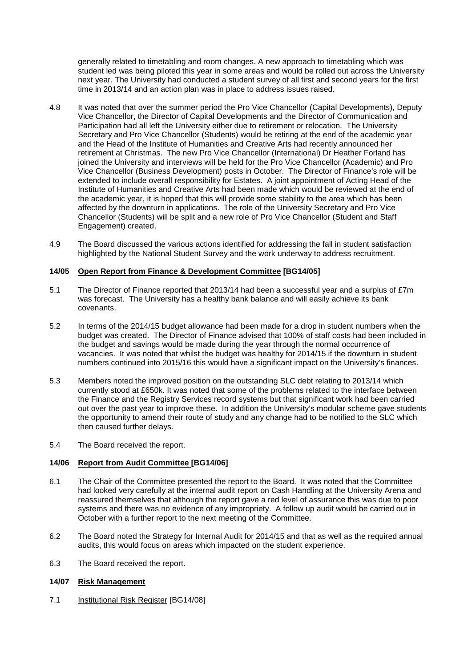generally related to timetabling and room changes. A new approach to timetabling which was student led was being piloted this year in some areas and would be rolled out across the University next year. The University had conducted a student survey of all first and second years for the first time in 2013/14 and an action plan was in place to address issues raised.

- 4.8 It was noted that over the summer period the Pro Vice Chancellor (Capital Developments), Deputy Vice Chancellor, the Director of Capital Developments and the Director of Communication and Participation had all left the University either due to retirement or relocation. The University Secretary and Pro Vice Chancellor (Students) would be retiring at the end of the academic year and the Head of the Institute of Humanities and Creative Arts had recently announced her retirement at Christmas. The new Pro Vice Chancellor (International) Dr Heather Forland has joined the University and interviews will be held for the Pro Vice Chancellor (Academic) and Pro Vice Chancellor (Business Development) posts in October. The Director of Finance's role will be extended to include overall responsibility for Estates. A joint appointment of Acting Head of the Institute of Humanities and Creative Arts had been made which would be reviewed at the end of the academic year, it is hoped that this will provide some stability to the area which has been affected by the downturn in applications. The role of the University Secretary and Pro Vice Chancellor (Students) will be split and a new role of Pro Vice Chancellor (Student and Staff Engagement) created.
- 4.9 The Board discussed the various actions identified for addressing the fall in student satisfaction highlighted by the National Student Survey and the work underway to address recruitment.

## **14/05 Open Report from Finance & Development Committee [BG14/05]**

- 5.1 The Director of Finance reported that 2013/14 had been a successful year and a surplus of £7m was forecast. The University has a healthy bank balance and will easily achieve its bank covenants.
- 5.2 In terms of the 2014/15 budget allowance had been made for a drop in student numbers when the budget was created. The Director of Finance advised that 100% of staff costs had been included in the budget and savings would be made during the year through the normal occurrence of vacancies. It was noted that whilst the budget was healthy for 2014/15 if the downturn in student numbers continued into 2015/16 this would have a significant impact on the University's finances.
- 5.3 Members noted the improved position on the outstanding SLC debt relating to 2013/14 which currently stood at £650k. It was noted that some of the problems related to the interface between the Finance and the Registry Services record systems but that significant work had been carried out over the past year to improve these. In addition the University's modular scheme gave students the opportunity to amend their route of study and any change had to be notified to the SLC which then caused further delays.
- 5.4 The Board received the report.

#### **14/06 Report from Audit Committee [BG14/06]**

- 6.1 The Chair of the Committee presented the report to the Board. It was noted that the Committee had looked very carefully at the internal audit report on Cash Handling at the University Arena and reassured themselves that although the report gave a red level of assurance this was due to poor systems and there was no evidence of any impropriety. A follow up audit would be carried out in October with a further report to the next meeting of the Committee.
- 6.2 The Board noted the Strategy for Internal Audit for 2014/15 and that as well as the required annual audits, this would focus on areas which impacted on the student experience.
- 6.3 The Board received the report.

## **14/07 Risk Management**

7.1 Institutional Risk Register [BG14/08]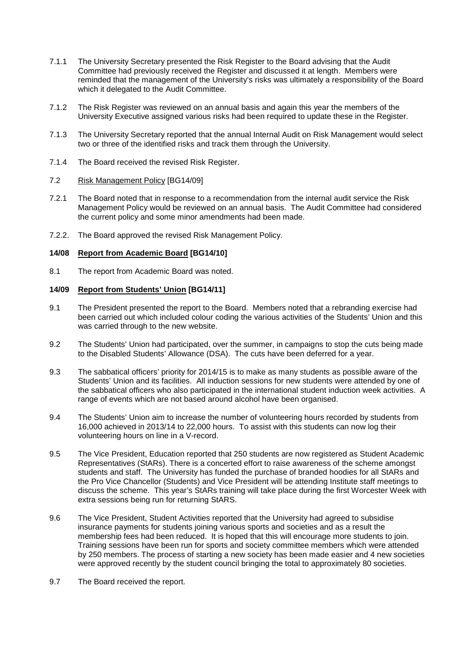- 7.1.1 The University Secretary presented the Risk Register to the Board advising that the Audit Committee had previously received the Register and discussed it at length. Members were reminded that the management of the University's risks was ultimately a responsibility of the Board which it delegated to the Audit Committee.
- 7.1.2 The Risk Register was reviewed on an annual basis and again this year the members of the University Executive assigned various risks had been required to update these in the Register.
- 7.1.3 The University Secretary reported that the annual Internal Audit on Risk Management would select two or three of the identified risks and track them through the University.
- 7.1.4 The Board received the revised Risk Register.

## 7.2 Risk Management Policy [BG14/09]

- 7.2.1 The Board noted that in response to a recommendation from the internal audit service the Risk Management Policy would be reviewed on an annual basis. The Audit Committee had considered the current policy and some minor amendments had been made.
- 7.2.2. The Board approved the revised Risk Management Policy.

## **14/08 Report from Academic Board [BG14/10]**

8.1 The report from Academic Board was noted.

## **14/09 Report from Students' Union [BG14/11]**

- 9.1 The President presented the report to the Board. Members noted that a rebranding exercise had been carried out which included colour coding the various activities of the Students' Union and this was carried through to the new website.
- 9.2 The Students' Union had participated, over the summer, in campaigns to stop the cuts being made to the Disabled Students' Allowance (DSA). The cuts have been deferred for a year.
- 9.3 The sabbatical officers' priority for 2014/15 is to make as many students as possible aware of the Students' Union and its facilities. All induction sessions for new students were attended by one of the sabbatical officers who also participated in the international student induction week activities. A range of events which are not based around alcohol have been organised.
- 9.4 The Students' Union aim to increase the number of volunteering hours recorded by students from 16,000 achieved in 2013/14 to 22,000 hours. To assist with this students can now log their volunteering hours on line in a V-record.
- 9.5 The Vice President, Education reported that 250 students are now registered as Student Academic Representatives (StARs). There is a concerted effort to raise awareness of the scheme amongst students and staff. The University has funded the purchase of branded hoodies for all StARs and the Pro Vice Chancellor (Students) and Vice President will be attending Institute staff meetings to discuss the scheme. This year's StARs training will take place during the first Worcester Week with extra sessions being run for returning StARS.
- 9.6 The Vice President, Student Activities reported that the University had agreed to subsidise insurance payments for students joining various sports and societies and as a result the membership fees had been reduced. It is hoped that this will encourage more students to join. Training sessions have been run for sports and society committee members which were attended by 250 members. The process of starting a new society has been made easier and 4 new societies were approved recently by the student council bringing the total to approximately 80 societies.
- 9.7 The Board received the report.